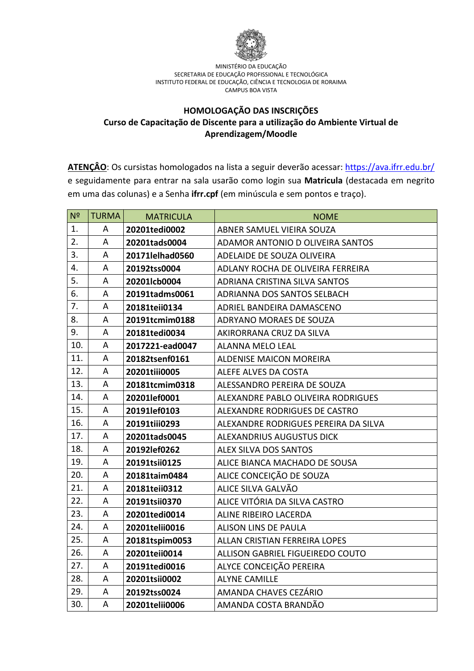

#### **HOMOLOGAÇÃO DAS INSCRIÇÕES Curso de Capacitação de Discente para a utilização do Ambiente Virtual de Aprendizagem/Moodle**

ATENÇÂO: Os cursistas homologados na lista a seguir deverão acessar:<https://ava.ifrr.edu.br/> e seguidamente para entrar na sala usarão como login sua **Matricula** (destacada em negrito em uma das colunas) e a Senha **ifrr.cpf** (em minúscula e sem pontos e traço).

| N <sup>2</sup> | <b>TURMA</b> | <b>MATRICULA</b> | <b>NOME</b>                          |
|----------------|--------------|------------------|--------------------------------------|
| 1.             | A            | 20201tedi0002    | ABNER SAMUEL VIEIRA SOUZA            |
| 2.             | A            | 20201tads0004    | ADAMOR ANTONIO D OLIVEIRA SANTOS     |
| 3.             | Α            | 20171lelhad0560  | ADELAIDE DE SOUZA OLIVEIRA           |
| 4.             | A            | 20192tss0004     | ADLANY ROCHA DE OLIVEIRA FERREIRA    |
| 5.             | A            | 20201lcb0004     | ADRIANA CRISTINA SILVA SANTOS        |
| 6.             | A            | 20191tadms0061   | ADRIANNA DOS SANTOS SELBACH          |
| 7.             | A            | 20181teii0134    | ADRIEL BANDEIRA DAMASCENO            |
| 8.             | A            | 20191tcmim0188   | ADRYANO MORAES DE SOUZA              |
| 9.             | A            | 20181tedi0034    | AKIRORRANA CRUZ DA SILVA             |
| 10.            | A            | 2017221-ead0047  | <b>ALANNA MELO LEAL</b>              |
| 11.            | A            | 20182tsenf0161   | <b>ALDENISE MAICON MOREIRA</b>       |
| 12.            | A            | 20201tiii0005    | ALEFE ALVES DA COSTA                 |
| 13.            | A            | 20181tcmim0318   | ALESSANDRO PEREIRA DE SOUZA          |
| 14.            | A            | 20201lef0001     | ALEXANDRE PABLO OLIVEIRA RODRIGUES   |
| 15.            | A            | 20191lef0103     | ALEXANDRE RODRIGUES DE CASTRO        |
| 16.            | A            | 20191tiii0293    | ALEXANDRE RODRIGUES PEREIRA DA SILVA |
| 17.            | A            | 20201tads0045    | <b>ALEXANDRIUS AUGUSTUS DICK</b>     |
| 18.            | A            | 20192lef0262     | <b>ALEX SILVA DOS SANTOS</b>         |
| 19.            | A            | 20191tsii0125    | ALICE BIANCA MACHADO DE SOUSA        |
| 20.            | A            | 20181taim0484    | ALICE CONCEIÇÃO DE SOUZA             |
| 21.            | Α            | 20181teii0312    | ALICE SILVA GALVÃO                   |
| 22.            | A            | 20191tsii0370    | ALICE VITÓRIA DA SILVA CASTRO        |
| 23.            | A            | 20201tedi0014    | ALINE RIBEIRO LACERDA                |
| 24.            | A            | 20201telii0016   | <b>ALISON LINS DE PAULA</b>          |
| 25.            | A            | 20181tspim0053   | ALLAN CRISTIAN FERREIRA LOPES        |
| 26.            | A            | 20201teii0014    | ALLISON GABRIEL FIGUEIREDO COUTO     |
| 27.            | A            | 20191tedi0016    | ALYCE CONCEIÇÃO PEREIRA              |
| 28.            | A            | 20201tsii0002    | <b>ALYNE CAMILLE</b>                 |
| 29.            | Α            | 20192tss0024     | AMANDA CHAVES CEZÁRIO                |
| 30.            | A            | 20201telii0006   | AMANDA COSTA BRANDÃO                 |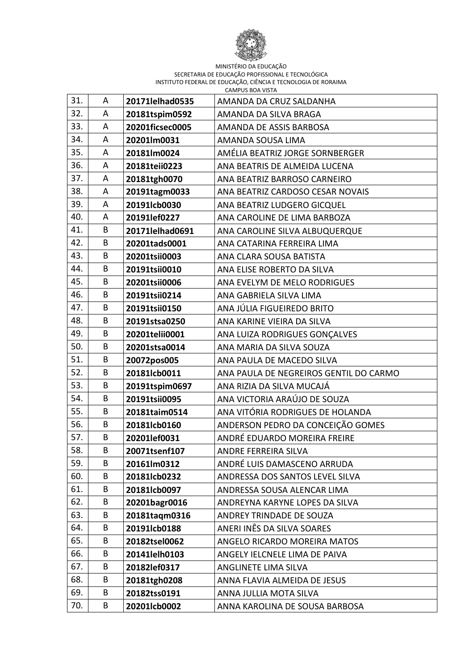

| 31. | A | 20171lelhad0535 | AMANDA DA CRUZ SALDANHA                |
|-----|---|-----------------|----------------------------------------|
| 32. | Α | 20181tspim0592  | AMANDA DA SILVA BRAGA                  |
| 33. | A | 20201ficsec0005 | AMANDA DE ASSIS BARBOSA                |
| 34. | A | 20201lm0031     | AMANDA SOUSA LIMA                      |
| 35. | A | 20181lm0024     | AMÉLIA BEATRIZ JORGE SORNBERGER        |
| 36. | A | 20181teii0223   | ANA BEATRIS DE ALMEIDA LUCENA          |
| 37. | Α | 20181tgh0070    | ANA BEATRIZ BARROSO CARNEIRO           |
| 38. | A | 20191tagm0033   | ANA BEATRIZ CARDOSO CESAR NOVAIS       |
| 39. | A | 20191lcb0030    | ANA BEATRIZ LUDGERO GICQUEL            |
| 40. | A | 20191lef0227    | ANA CAROLINE DE LIMA BARBOZA           |
| 41. | B | 20171lelhad0691 | ANA CAROLINE SILVA ALBUQUERQUE         |
| 42. | B | 20201tads0001   | ANA CATARINA FERREIRA LIMA             |
| 43. | B | 20201tsii0003   | ANA CLARA SOUSA BATISTA                |
| 44. | B | 20191tsii0010   | ANA ELISE ROBERTO DA SILVA             |
| 45. | B | 20201tsii0006   | ANA EVELYM DE MELO RODRIGUES           |
| 46. | B | 20191tsii0214   | ANA GABRIELA SILVA LIMA                |
| 47. | B | 20191tsii0150   | ANA JÚLIA FIGUEIREDO BRITO             |
| 48. | B | 20191stsa0250   | ANA KARINE VIEIRA DA SILVA             |
| 49. | B | 20201telii0001  | ANA LUIZA RODRIGUES GONÇALVES          |
| 50. | B | 20201stsa0014   | ANA MARIA DA SILVA SOUZA               |
| 51. | B | 20072pos005     | ANA PAULA DE MACEDO SILVA              |
| 52. | B | 20181lcb0011    | ANA PAULA DE NEGREIROS GENTIL DO CARMO |
| 53. | B | 20191tspim0697  | ANA RIZIA DA SILVA MUCAJÁ              |
| 54. | B | 20191tsii0095   | ANA VICTORIA ARAÚJO DE SOUZA           |
| 55. | B | 20181taim0514   | ANA VITÓRIA RODRIGUES DE HOLANDA       |
| 56. | B | 20181lcb0160    | ANDERSON PEDRO DA CONCEIÇÃO GOMES      |
| 57. | B | 20201lef0031    | ANDRÉ EDUARDO MOREIRA FREIRE           |
| 58. | B | 20071tsenf107   | ANDRE FERREIRA SILVA                   |
| 59. | B | 20161lm0312     | ANDRÉ LUIS DAMASCENO ARRUDA            |
| 60. | B | 20181lcb0232    | ANDRESSA DOS SANTOS LEVEL SILVA        |
| 61. | B | 20181lcb0097    | ANDRESSA SOUSA ALENCAR LIMA            |
| 62. | B | 20201bagr0016   | ANDREYNA KARYNE LOPES DA SILVA         |
| 63. | В | 20181tagm0316   | ANDREY TRINDADE DE SOUZA               |
| 64. | B | 20191lcb0188    | ANERI INÊS DA SILVA SOARES             |
| 65. | B | 20182tsel0062   | ANGELO RICARDO MOREIRA MATOS           |
| 66. | В | 20141lelh0103   | ANGELY IELCNELE LIMA DE PAIVA          |
| 67. | В | 20182lef0317    | ANGLINETE LIMA SILVA                   |
| 68. | B | 20181tgh0208    | ANNA FLAVIA ALMEIDA DE JESUS           |
| 69. | B | 20182tss0191    | ANNA JULLIA MOTA SILVA                 |
| 70. | В | 20201lcb0002    | ANNA KAROLINA DE SOUSA BARBOSA         |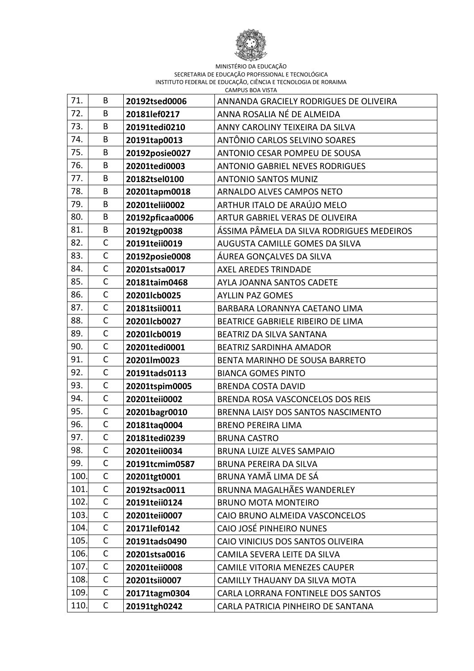

| 71.  | B            | 20192tsed0006   | ANNANDA GRACIELY RODRIGUES DE OLIVEIRA    |
|------|--------------|-----------------|-------------------------------------------|
| 72.  | B            | 20181lef0217    | ANNA ROSALIA NÉ DE ALMEIDA                |
| 73.  | B            | 20191tedi0210   | ANNY CAROLINY TEIXEIRA DA SILVA           |
| 74.  | B            | 20191tap0013    | ANTÔNIO CARLOS SELVINO SOARES             |
| 75.  | B            | 20192posie0027  | ANTONIO CESAR POMPEU DE SOUSA             |
| 76.  | B            | 20201tedi0003   | <b>ANTONIO GABRIEL NEVES RODRIGUES</b>    |
| 77.  | B            | 20182tsel0100   | <b>ANTONIO SANTOS MUNIZ</b>               |
| 78.  | B            | 20201tapm0018   | ARNALDO ALVES CAMPOS NETO                 |
| 79.  | B            | 20201telii0002  | ARTHUR ITALO DE ARAÚJO MELO               |
| 80.  | B            | 20192pficaa0006 | ARTUR GABRIEL VERAS DE OLIVEIRA           |
| 81.  | B            | 20192tgp0038    | ÁSSIMA PÂMELA DA SILVA RODRIGUES MEDEIROS |
| 82.  | $\mathsf C$  | 20191teii0019   | AUGUSTA CAMILLE GOMES DA SILVA            |
| 83.  | C            | 20192posie0008  | ÁUREA GONÇALVES DA SILVA                  |
| 84.  | $\mathsf{C}$ | 20201stsa0017   | AXEL AREDES TRINDADE                      |
| 85.  | $\mathsf C$  | 20181taim0468   | AYLA JOANNA SANTOS CADETE                 |
| 86.  | $\mathsf{C}$ | 20201lcb0025    | <b>AYLLIN PAZ GOMES</b>                   |
| 87.  | $\mathsf{C}$ | 20181tsii0011   | BARBARA LORANNYA CAETANO LIMA             |
| 88.  | C            | 20201lcb0027    | BEATRICE GABRIELE RIBEIRO DE LIMA         |
| 89.  | $\mathsf C$  | 20201lcb0019    | BEATRIZ DA SILVA SANTANA                  |
| 90.  | $\mathsf{C}$ | 20201tedi0001   | <b>BEATRIZ SARDINHA AMADOR</b>            |
| 91.  | $\mathsf{C}$ | 20201lm0023     | BENTA MARINHO DE SOUSA BARRETO            |
| 92.  | C            | 20191tads0113   | <b>BIANCA GOMES PINTO</b>                 |
| 93.  | $\mathsf{C}$ | 20201tspim0005  | <b>BRENDA COSTA DAVID</b>                 |
| 94.  | $\mathsf{C}$ | 20201teii0002   | BRENDA ROSA VASCONCELOS DOS REIS          |
| 95.  | C            | 20201bagr0010   | BRENNA LAISY DOS SANTOS NASCIMENTO        |
| 96.  | $\mathsf{C}$ | 20181taq0004    | <b>BRENO PEREIRA LIMA</b>                 |
| 97.  | $\mathsf{C}$ | 20181tedi0239   | <b>BRUNA CASTRO</b>                       |
| 98.  | $\mathsf C$  | 20201teii0034   | BRUNA LUIZE ALVES SAMPAIO                 |
| 99.  | C            | 20191tcmim0587  | BRUNA PEREIRA DA SILVA                    |
| 100. | $\mathsf{C}$ | 20201tgt0001    | BRUNA YAMÃ LIMA DE SÁ                     |
| 101. | $\mathsf C$  | 20192tsac0011   | <b>BRUNNA MAGALHÃES WANDERLEY</b>         |
| 102. | $\mathsf C$  | 20191teii0124   | <b>BRUNO MOTA MONTEIRO</b>                |
| 103. | $\mathsf{C}$ | 20201teii0007   | CAIO BRUNO ALMEIDA VASCONCELOS            |
| 104. | $\mathsf C$  | 20171lef0142    | CAIO JOSÉ PINHEIRO NUNES                  |
| 105. | $\mathsf C$  | 20191tads0490   | CAIO VINICIUS DOS SANTOS OLIVEIRA         |
| 106. | $\mathsf{C}$ | 20201stsa0016   | CAMILA SEVERA LEITE DA SILVA              |
| 107. | $\mathsf C$  | 20201teii0008   | <b>CAMILE VITORIA MENEZES CAUPER</b>      |
| 108. | $\mathsf{C}$ | 20201tsii0007   | CAMILLY THAUANY DA SILVA MOTA             |
| 109. | C            | 20171tagm0304   | CARLA LORRANA FONTINELE DOS SANTOS        |
| 110. | C            | 20191tgh0242    | CARLA PATRICIA PINHEIRO DE SANTANA        |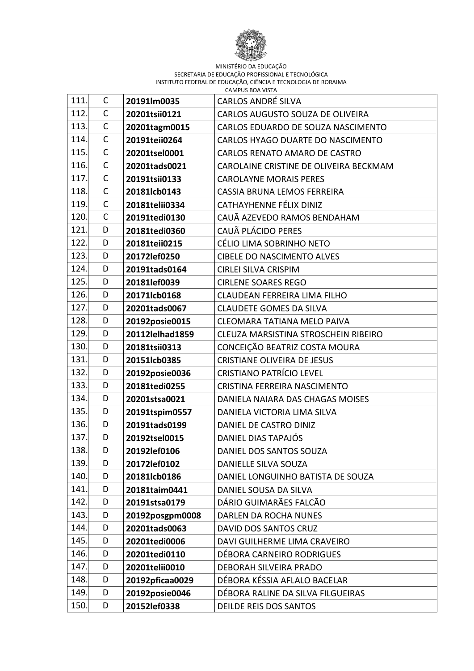

| 111. | C            | 20191lm0035     | <b>CARLOS ANDRÉ SILVA</b>              |
|------|--------------|-----------------|----------------------------------------|
| 112. | C            | 20201tsii0121   | CARLOS AUGUSTO SOUZA DE OLIVEIRA       |
| 113. | $\mathsf{C}$ | 20201tagm0015   | CARLOS EDUARDO DE SOUZA NASCIMENTO     |
| 114. | $\mathsf{C}$ | 20191teii0264   | CARLOS HYAGO DUARTE DO NASCIMENTO      |
| 115. | $\mathsf{C}$ | 20201tsel0001   | CARLOS RENATO AMARO DE CASTRO          |
| 116. | $\mathsf{C}$ | 20201tads0021   | CAROLAINE CRISTINE DE OLIVEIRA BECKMAM |
| 117. | $\mathsf{C}$ | 20191tsii0133   | <b>CAROLAYNE MORAIS PERES</b>          |
| 118. | $\mathsf{C}$ | 20181lcb0143    | CASSIA BRUNA LEMOS FERREIRA            |
| 119. | $\mathsf{C}$ | 20181telii0334  | CATHAYHENNE FÉLIX DINIZ                |
| 120. | $\mathsf{C}$ | 20191tedi0130   | CAUÃ AZEVEDO RAMOS BENDAHAM            |
| 121. | D            | 20181tedi0360   | CAUÃ PLÁCIDO PERES                     |
| 122. | D            | 20181teii0215   | CÉLIO LIMA SOBRINHO NETO               |
| 123. | D            | 20172lef0250    | <b>CIBELE DO NASCIMENTO ALVES</b>      |
| 124. | D            | 20191tads0164   | <b>CIRLEI SILVA CRISPIM</b>            |
| 125. | D            | 20181lef0039    | <b>CIRLENE SOARES REGO</b>             |
| 126. | D            | 20171lcb0168    | CLAUDEAN FERREIRA LIMA FILHO           |
| 127. | D            | 20201tads0067   | <b>CLAUDETE GOMES DA SILVA</b>         |
| 128. | D            | 20192posie0015  | CLEOMARA TATIANA MELO PAIVA            |
| 129. | D            | 20112lelhad1859 | CLEUZA MARSISTINA STROSCHEIN RIBEIRO   |
| 130. | D            | 20181tsii0313   | CONCEIÇÃO BEATRIZ COSTA MOURA          |
| 131. | D            | 20151lcb0385    | <b>CRISTIANE OLIVEIRA DE JESUS</b>     |
| 132. | D            | 20192posie0036  | <b>CRISTIANO PATRÍCIO LEVEL</b>        |
| 133. | D            | 20181tedi0255   | CRISTINA FERREIRA NASCIMENTO           |
| 134. | D            | 20201stsa0021   | DANIELA NAIARA DAS CHAGAS MOISES       |
| 135. | D            | 20191tspim0557  | DANIELA VICTORIA LIMA SILVA            |
| 136. | D            | 20191tads0199   | DANIEL DE CASTRO DINIZ                 |
| 137. | D            | 20192tsel0015   | DANIEL DIAS TAPAJÓS                    |
| 138. | D            | 20192lef0106    | DANIEL DOS SANTOS SOUZA                |
| 139. | D            | 20172lef0102    | DANIELLE SILVA SOUZA                   |
| 140. | D            | 20181lcb0186    | DANIEL LONGUINHO BATISTA DE SOUZA      |
| 141. | D            | 20181taim0441   | DANIEL SOUSA DA SILVA                  |
| 142. | D            | 20191stsa0179   | DÁRIO GUIMARÃES FALCÃO                 |
| 143. | D            | 20192posgpm0008 | DARLEN DA ROCHA NUNES                  |
| 144. | D            | 20201tads0063   | DAVID DOS SANTOS CRUZ                  |
| 145. | D            | 20201tedi0006   | DAVI GUILHERME LIMA CRAVEIRO           |
| 146. | D            | 20201tedi0110   | DÉBORA CARNEIRO RODRIGUES              |
| 147. | D            | 20201telii0010  | DEBORAH SILVEIRA PRADO                 |
| 148. | D            | 20192pficaa0029 | DÉBORA KÉSSIA AFLALO BACELAR           |
| 149. | D            | 20192posie0046  | DÉBORA RALINE DA SILVA FILGUEIRAS      |
| 150. | D            | 20152lef0338    | DEILDE REIS DOS SANTOS                 |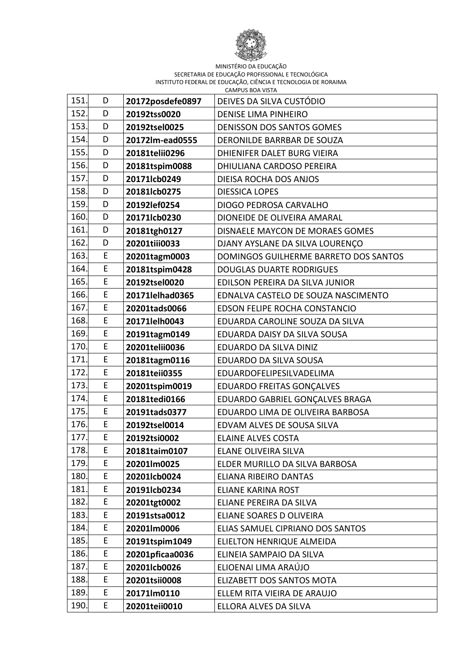

| 151. | D  | 20172posdefe0897 | DEIVES DA SILVA CUSTÓDIO              |
|------|----|------------------|---------------------------------------|
| 152. | D  | 20192tss0020     | <b>DENISE LIMA PINHEIRO</b>           |
| 153. | D  | 20192tsel0025    | <b>DENISSON DOS SANTOS GOMES</b>      |
| 154. | D  | 20172lm-ead0555  | DERONILDE BARRBAR DE SOUZA            |
| 155. | D  | 20181telii0296   | DHIENIFER DALET BURG VIEIRA           |
| 156. | D  | 20181tspim0088   | DHIULIANA CARDOSO PEREIRA             |
| 157. | D  | 20171lcb0249     | DIEISA ROCHA DOS ANJOS                |
| 158. | D  | 20181lcb0275     | <b>DIESSICA LOPES</b>                 |
| 159. | D  | 20192lef0254     | DIOGO PEDROSA CARVALHO                |
| 160. | D  | 20171lcb0230     | DIONEIDE DE OLIVEIRA AMARAL           |
| 161. | D  | 20181tgh0127     | DISNAELE MAYCON DE MORAES GOMES       |
| 162. | D  | 20201tiii0033    | DJANY AYSLANE DA SILVA LOURENÇO       |
| 163. | E  | 20201tagm0003    | DOMINGOS GUILHERME BARRETO DOS SANTOS |
| 164. | E  | 20181tspim0428   | <b>DOUGLAS DUARTE RODRIGUES</b>       |
| 165. | E  | 20192tsel0020    | EDILSON PEREIRA DA SILVA JUNIOR       |
| 166. | E  | 20171lelhad0365  | EDNALVA CASTELO DE SOUZA NASCIMENTO   |
| 167. | E  | 20201tads0066    | EDSON FELIPE ROCHA CONSTANCIO         |
| 168. | E  | 20171lelh0043    | EDUARDA CAROLINE SOUZA DA SILVA       |
| 169  | E  | 20191tagm0149    | EDUARDA DAISY DA SILVA SOUSA          |
| 170. | E  | 20201telii0036   | EDUARDO DA SILVA DINIZ                |
| 171. | E  | 20181tagm0116    | EDUARDO DA SILVA SOUSA                |
| 172. | E  | 20181teii0355    | EDUARDOFELIPESILVADELIMA              |
| 173. | E  | 20201tspim0019   | <b>EDUARDO FREITAS GONÇALVES</b>      |
| 174. | E  | 20181tedi0166    | EDUARDO GABRIEL GONÇALVES BRAGA       |
| 175. | E  | 20191tads0377    | EDUARDO LIMA DE OLIVEIRA BARBOSA      |
| 176. | E  | 20192tsel0014    | EDVAM ALVES DE SOUSA SILVA            |
| 177. | E  | 20192tsi0002     | <b>ELAINE ALVES COSTA</b>             |
| 178. | E  | 20181taim0107    | ELANE OLIVEIRA SILVA                  |
| 179. | E  | 20201lm0025      | ELDER MURILLO DA SILVA BARBOSA        |
| 180. | E  | 20201lcb0024     | ELIANA RIBEIRO DANTAS                 |
| 181. | E  | 20191lcb0234     | <b>ELIANE KARINA ROST</b>             |
| 182. | E  | 20201tgt0002     | ELIANE PEREIRA DA SILVA               |
| 183. | Е  | 20191stsa0012    | ELIANE SOARES D OLIVEIRA              |
| 184. | E  | 20201lm0006      | ELIAS SAMUEL CIPRIANO DOS SANTOS      |
| 185. | E  | 20191tspim1049   | ELIELTON HENRIQUE ALMEIDA             |
| 186. | E  | 20201pficaa0036  | ELINEIA SAMPAIO DA SILVA              |
| 187. | E  | 20201lcb0026     | ELIOENAI LIMA ARAÚJO                  |
| 188. | E  | 20201tsii0008    | ELIZABETT DOS SANTOS MOTA             |
| 189. | E  | 20171lm0110      | ELLEM RITA VIEIRA DE ARAUJO           |
| 190. | E. | 20201teii0010    | ELLORA ALVES DA SILVA                 |
|      |    |                  |                                       |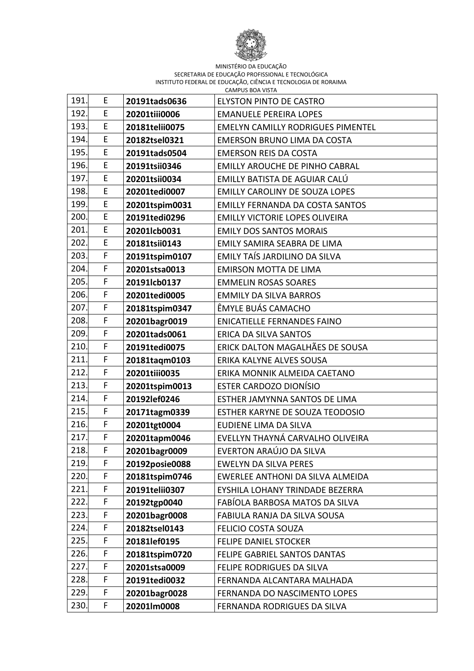

| 191.        | E           | 20191tads0636  |                                          |
|-------------|-------------|----------------|------------------------------------------|
|             |             |                | <b>ELYSTON PINTO DE CASTRO</b>           |
| 192<br>193. | E<br>E      | 20201tiii0006  | <b>EMANUELE PEREIRA LOPES</b>            |
|             |             | 20181telii0075 | <b>EMELYN CAMILLY RODRIGUES PIMENTEL</b> |
| 194.        | E           | 20182tsel0321  | <b>EMERSON BRUNO LIMA DA COSTA</b>       |
| 195         | E           | 20191tads0504  | <b>EMERSON REIS DA COSTA</b>             |
| 196.        | E           | 20191tsii0346  | <b>EMILLY AROUCHE DE PINHO CABRAL</b>    |
| 197.        | E           | 20201tsii0034  | EMILLY BATISTA DE AGUIAR CALÚ            |
| 198         | E           | 20201tedi0007  | <b>EMILLY CAROLINY DE SOUZA LOPES</b>    |
| 199.        | E           | 20201tspim0031 | <b>EMILLY FERNANDA DA COSTA SANTOS</b>   |
| 200.        | E           | 20191tedi0296  | <b>EMILLY VICTORIE LOPES OLIVEIRA</b>    |
| 201.        | E           | 20201lcb0031   | <b>EMILY DOS SANTOS MORAIS</b>           |
| 202.        | E           | 20181tsii0143  | EMILY SAMIRA SEABRA DE LIMA              |
| 203.        | F           | 20191tspim0107 | EMILY TAÍS JARDILINO DA SILVA            |
| 204.        | F           | 20201stsa0013  | <b>EMIRSON MOTTA DE LIMA</b>             |
| 205.        | F           | 20191lcb0137   | <b>EMMELIN ROSAS SOARES</b>              |
| 206.        | F           | 20201tedi0005  | <b>EMMILY DA SILVA BARROS</b>            |
| 207.        | F           | 20181tspim0347 | ÊMYLE BUÁS CAMACHO                       |
| 208.        | F           | 20201bagr0019  | <b>ENICATIELLE FERNANDES FAINO</b>       |
| 209         | F           | 20201tads0061  | ERICA DA SILVA SANTOS                    |
| 210.        | F           | 20191tedi0075  | ERICK DALTON MAGALHÃES DE SOUSA          |
| 211.        | F           | 20181taqm0103  | ERIKA KALYNE ALVES SOUSA                 |
| 212.        | F           | 20201tiii0035  | ERIKA MONNIK ALMEIDA CAETANO             |
| 213.        | F           | 20201tspim0013 | <b>ESTER CARDOZO DIONÍSIO</b>            |
| 214.        | F           | 20192lef0246   | ESTHER JAMYNNA SANTOS DE LIMA            |
| 215.        | F           | 20171tagm0339  | ESTHER KARYNE DE SOUZA TEODOSIO          |
| 216.        | F           | 20201tgt0004   | EUDIENE LIMA DA SILVA                    |
| 217.        | F           | 20201tapm0046  | EVELLYN THAYNÁ CARVALHO OLIVEIRA         |
| 218.        | $\mathsf F$ | 20201bagr0009  | EVERTON ARAÚJO DA SILVA                  |
| 219.        | F           | 20192posie0088 | <b>EWELYN DA SILVA PERES</b>             |
| 220.        | F           | 20181tspim0746 | EWERLEE ANTHONI DA SILVA ALMEIDA         |
| 221.        | F           | 20191telii0307 | EYSHILA LOHANY TRINDADE BEZERRA          |
| 222.        | F           | 20192tgp0040   | FABÍOLA BARBOSA MATOS DA SILVA           |
| 223.        | F           | 20201bagr0008  | FABIULA RANJA DA SILVA SOUSA             |
| 224.        | F           | 20182tsel0143  | <b>FELICIO COSTA SOUZA</b>               |
| 225.        | F           | 20181lef0195   | <b>FELIPE DANIEL STOCKER</b>             |
| 226.        | F           | 20181tspim0720 | FELIPE GABRIEL SANTOS DANTAS             |
| 227.        | F           | 20201stsa0009  | FELIPE RODRIGUES DA SILVA                |
| 228.        | F           | 20191tedi0032  | FERNANDA ALCANTARA MALHADA               |
| 229.        | F           | 20201bagr0028  | FERNANDA DO NASCIMENTO LOPES             |
| 230.        | F           | 20201lm0008    | FERNANDA RODRIGUES DA SILVA              |
|             |             |                |                                          |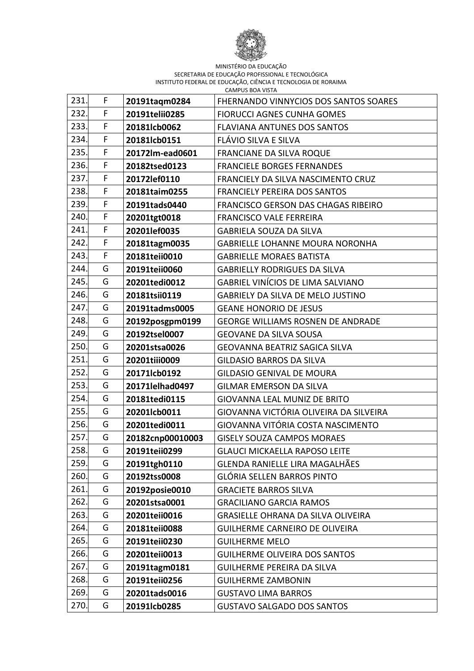

| 231. | F | 20191tagm0284    | FHERNANDO VINNYCIOS DOS SANTOS SOARES     |
|------|---|------------------|-------------------------------------------|
| 232. | F | 20191telii0285   | <b>FIORUCCI AGNES CUNHA GOMES</b>         |
| 233. | F | 20181lcb0062     | <b>FLAVIANA ANTUNES DOS SANTOS</b>        |
| 234. | F | 20181lcb0151     | FLÁVIO SILVA E SILVA                      |
| 235. | F | 20172lm-ead0601  | <b>FRANCIANE DA SILVA ROQUE</b>           |
| 236. | F | 20182tsed0123    | <b>FRANCIELE BORGES FERNANDES</b>         |
| 237. | F | 20172lef0110     | FRANCIELY DA SILVA NASCIMENTO CRUZ        |
| 238. | F | 20181taim0255    | <b>FRANCIELY PEREIRA DOS SANTOS</b>       |
| 239. | F | 20191tads0440    | FRANCISCO GERSON DAS CHAGAS RIBEIRO       |
| 240. | F | 20201tgt0018     | <b>FRANCISCO VALE FERREIRA</b>            |
| 241  | F | 20201lef0035     | <b>GABRIELA SOUZA DA SILVA</b>            |
| 242. | F | 20181tagm0035    | <b>GABRIELLE LOHANNE MOURA NORONHA</b>    |
| 243. | F | 20181teii0010    | <b>GABRIELLE MORAES BATISTA</b>           |
| 244. | G | 20191teii0060    | <b>GABRIELLY RODRIGUES DA SILVA</b>       |
| 245. | G | 20201tedi0012    | <b>GABRIEL VINÍCIOS DE LIMA SALVIANO</b>  |
| 246. | G | 20181tsii0119    | <b>GABRIELY DA SILVA DE MELO JUSTINO</b>  |
| 247. | G | 20191tadms0005   | <b>GEANE HONORIO DE JESUS</b>             |
| 248. | G | 20192posgpm0199  | <b>GEORGE WILLIAMS ROSNEN DE ANDRADE</b>  |
| 249. | G | 20192tsel0007    | <b>GEOVANE DA SILVA SOUSA</b>             |
| 250. | G | 20201stsa0026    | <b>GEOVANNA BEATRIZ SAGICA SILVA</b>      |
| 251. | G | 20201tiii0009    | <b>GILDASIO BARROS DA SILVA</b>           |
| 252. | G | 20171lcb0192     | <b>GILDASIO GENIVAL DE MOURA</b>          |
| 253. | G | 20171lelhad0497  | <b>GILMAR EMERSON DA SILVA</b>            |
| 254. | G | 20181tedi0115    | <b>GIOVANNA LEAL MUNIZ DE BRITO</b>       |
| 255. | G | 20201lcb0011     | GIOVANNA VICTÓRIA OLIVEIRA DA SILVEIRA    |
| 256. | G | 20201tedi0011    | GIOVANNA VITÓRIA COSTA NASCIMENTO         |
| 257. | G | 20182cnp00010003 | <b>GISELY SOUZA CAMPOS MORAES</b>         |
| 258. | G | 20191teii0299    | <b>GLAUCI MICKAELLA RAPOSO LEITE</b>      |
| 259. | G | 20191tgh0110     | GLENDA RANIELLE LIRA MAGALHÃES            |
| 260. | G | 20192tss0008     | <b>GLÓRIA SELLEN BARROS PINTO</b>         |
| 261. | G | 20192posie0010   | <b>GRACIETE BARROS SILVA</b>              |
| 262. | G | 20201stsa0001    | <b>GRACILIANO GARCIA RAMOS</b>            |
| 263. | G | 20201teii0016    | <b>GRASIELLE OHRANA DA SILVA OLIVEIRA</b> |
| 264. | G | 20181teii0088    | <b>GUILHERME CARNEIRO DE OLIVEIRA</b>     |
| 265. | G | 20191teii0230    | <b>GUILHERME MELO</b>                     |
| 266. | G | 20201teii0013    | <b>GUILHERME OLIVEIRA DOS SANTOS</b>      |
| 267. | G | 20191tagm0181    | <b>GUILHERME PEREIRA DA SILVA</b>         |
| 268. | G | 20191teii0256    | <b>GUILHERME ZAMBONIN</b>                 |
| 269. | G | 20201tads0016    | <b>GUSTAVO LIMA BARROS</b>                |
| 270. | G | 20191lcb0285     | <b>GUSTAVO SALGADO DOS SANTOS</b>         |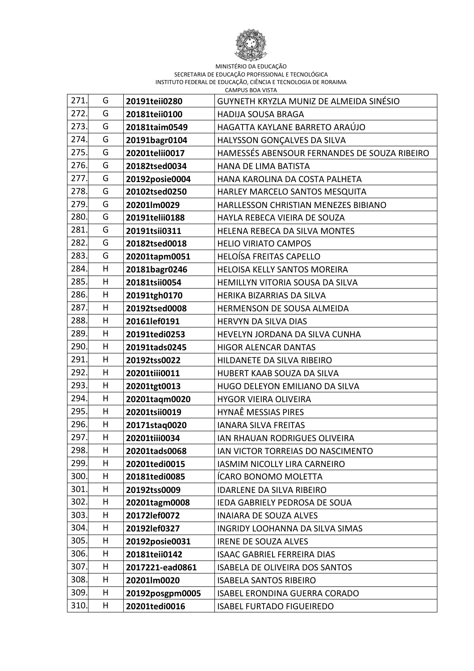

| 271. | G | 20191teii0280   | GUYNETH KRYZLA MUNIZ DE ALMEIDA SINÉSIO      |
|------|---|-----------------|----------------------------------------------|
| 272. | G | 20181teii0100   | <b>HADIJA SOUSA BRAGA</b>                    |
| 273. | G | 20181taim0549   | HAGATTA KAYLANE BARRETO ARAÚJO               |
| 274. | G | 20191bagr0104   | HALYSSON GONÇALVES DA SILVA                  |
| 275. | G | 20201telii0017  | HAMESSÉS ABENSOUR FERNANDES DE SOUZA RIBEIRO |
| 276. | G | 20182tsed0034   | HANA DE LIMA BATISTA                         |
| 277. | G | 20192posie0004  | HANA KAROLINA DA COSTA PALHETA               |
| 278. | G | 20102tsed0250   | HARLEY MARCELO SANTOS MESQUITA               |
| 279. | G | 20201lm0029     | HARLLESSON CHRISTIAN MENEZES BIBIANO         |
| 280. | G | 20191telii0188  | HAYLA REBECA VIEIRA DE SOUZA                 |
| 281. | G | 20191tsii0311   | HELENA REBECA DA SILVA MONTES                |
| 282. | G | 20182tsed0018   | <b>HELIO VIRIATO CAMPOS</b>                  |
| 283. | G | 20201tapm0051   | <b>HELOÍSA FREITAS CAPELLO</b>               |
| 284. | H | 20181bagr0246   | HELOISA KELLY SANTOS MOREIRA                 |
| 285. | Н | 20181tsii0054   | HEMILLYN VITORIA SOUSA DA SILVA              |
| 286. | H | 20191tgh0170    | HERIKA BIZARRIAS DA SILVA                    |
| 287. | Η | 20192tsed0008   | HERMENSON DE SOUSA ALMEIDA                   |
| 288. | н | 20161lef0191    | HERVYN DA SILVA DIAS                         |
| 289. | H | 20191tedi0253   | HEVELYN JORDANA DA SILVA CUNHA               |
| 290. | H | 20191tads0245   | <b>HIGOR ALENCAR DANTAS</b>                  |
| 291. | Н | 20192tss0022    | HILDANETE DA SILVA RIBEIRO                   |
| 292. | Н | 20201tiii0011   | HUBERT KAAB SOUZA DA SILVA                   |
| 293. | Η | 20201tgt0013    | HUGO DELEYON EMILIANO DA SILVA               |
| 294. | Η | 20201taqm0020   | <b>HYGOR VIEIRA OLIVEIRA</b>                 |
| 295. | н | 20201tsii0019   | HYNAÊ MESSIAS PIRES                          |
| 296. | H | 20171stag0020   | <b>IANARA SILVA FREITAS</b>                  |
| 297. | Η | 20201tiii0034   | IAN RHAUAN RODRIGUES OLIVEIRA                |
| 298. | Н | 20201tads0068   | IAN VICTOR TORREIAS DO NASCIMENTO            |
| 299. | H | 20201tedi0015   | <b>IASMIM NICOLLY LIRA CARNEIRO</b>          |
| 300. | н | 20181tedi0085   | ÍCARO BONOMO MOLETTA                         |
| 301. | н | 20192tss0009    | <b>IDARLENE DA SILVA RIBEIRO</b>             |
| 302. | н | 20201tagm0008   | IEDA GABRIELY PEDROSA DE SOUA                |
| 303. | н | 20172lef0072    | <b>INAIARA DE SOUZA ALVES</b>                |
| 304. | н | 20192lef0327    | <b>INGRIDY LOOHANNA DA SILVA SIMAS</b>       |
| 305. | н | 20192posie0031  | <b>IRENE DE SOUZA ALVES</b>                  |
| 306. | н | 20181teii0142   | <b>ISAAC GABRIEL FERREIRA DIAS</b>           |
| 307. | н | 2017221-ead0861 | <b>ISABELA DE OLIVEIRA DOS SANTOS</b>        |
| 308. | н | 20201lm0020     | <b>ISABELA SANTOS RIBEIRO</b>                |
| 309. | н | 20192posgpm0005 | <b>ISABEL ERONDINA GUERRA CORADO</b>         |
| 310. | н | 20201tedi0016   | <b>ISABEL FURTADO FIGUEIREDO</b>             |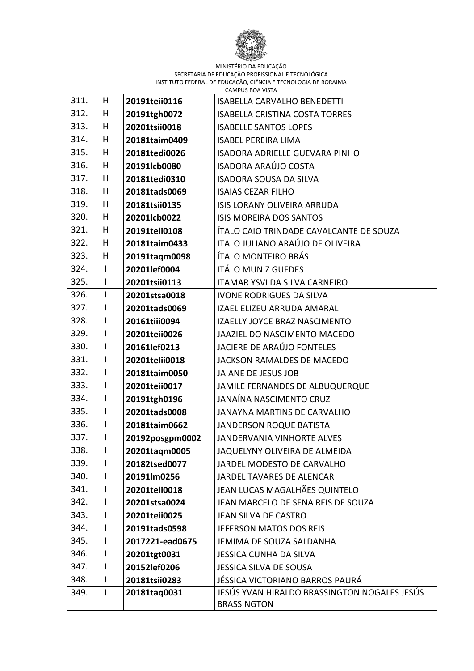

| 311. | Η            | 20191teii0116   | <b>ISABELLA CARVALHO BENEDETTI</b>           |
|------|--------------|-----------------|----------------------------------------------|
| 312. | н            | 20191tgh0072    | <b>ISABELLA CRISTINA COSTA TORRES</b>        |
| 313. | H            | 20201tsii0018   | <b>ISABELLE SANTOS LOPES</b>                 |
| 314. | Η            | 20181taim0409   | <b>ISABEL PEREIRA LIMA</b>                   |
| 315  | н            | 20181tedi0026   | ISADORA ADRIELLE GUEVARA PINHO               |
| 316. | Н            | 20191lcb0080    | <b>ISADORA ARAÚJO COSTA</b>                  |
| 317. | Н            | 20181tedi0310   | <b>ISADORA SOUSA DA SILVA</b>                |
| 318. | H            | 20181tads0069   | <b>ISAIAS CEZAR FILHO</b>                    |
| 319. | Н            | 20181tsii0135   | ISIS LORANY OLIVEIRA ARRUDA                  |
| 320. | H            | 20201lcb0022    | <b>ISIS MOREIRA DOS SANTOS</b>               |
| 321. | Н            | 20191teii0108   | ÍTALO CAIO TRINDADE CAVALCANTE DE SOUZA      |
| 322. | н            | 20181taim0433   | ITALO JULIANO ARAÚJO DE OLIVEIRA             |
| 323. | Н            | 20191taqm0098   | ÍTALO MONTEIRO BRÁS                          |
| 324. | $\mathsf{I}$ | 20201lef0004    | <b>ITÁLO MUNIZ GUEDES</b>                    |
| 325. | I            | 20201tsii0113   | ITAMAR YSVI DA SILVA CARNEIRO                |
| 326. | I            | 20201stsa0018   | <b>IVONE RODRIGUES DA SILVA</b>              |
| 327. | $\mathsf{I}$ | 20201tads0069   | <b>IZAEL ELIZEU ARRUDA AMARAL</b>            |
| 328. | $\mathsf{I}$ | 20161tiii0094   | IZAELLY JOYCE BRAZ NASCIMENTO                |
| 329. | I            | 20201teii0026   | JAAZIEL DO NASCIMENTO MACEDO                 |
| 330. | $\mathsf I$  | 20161lef0213    | <b>JACIERE DE ARAÚJO FONTELES</b>            |
| 331. | $\mathsf{I}$ | 20201telii0018  | JACKSON RAMALDES DE MACEDO                   |
| 332. | $\mathsf{I}$ | 20181taim0050   | <b>JAIANE DE JESUS JOB</b>                   |
| 333. | $\mathsf{l}$ | 20201teii0017   | JAMILE FERNANDES DE ALBUQUERQUE              |
| 334. | I            | 20191tgh0196    | JANAÍNA NASCIMENTO CRUZ                      |
| 335. | $\mathsf{I}$ | 20201tads0008   | JANAYNA MARTINS DE CARVALHO                  |
| 336. | I            | 20181taim0662   | <b>JANDERSON ROQUE BATISTA</b>               |
| 337. | $\mathsf{I}$ | 20192posgpm0002 | <b>JANDERVANIA VINHORTE ALVES</b>            |
| 338. | L            | 20201taqm0005   | JAQUELYNY OLIVEIRA DE ALMEIDA                |
| 339. | L            | 20182tsed0077   | JARDEL MODESTO DE CARVALHO                   |
| 340. | I            | 20191lm0256     | JARDEL TAVARES DE ALENCAR                    |
| 341. | I            | 20201teii0018   | JEAN LUCAS MAGALHÃES QUINTELO                |
| 342. | I            | 20201stsa0024   | JEAN MARCELO DE SENA REIS DE SOUZA           |
| 343. | L            | 20201teii0025   | JEAN SILVA DE CASTRO                         |
| 344. | $\mathsf{I}$ | 20191tads0598   | JEFERSON MATOS DOS REIS                      |
| 345. | I            | 2017221-ead0675 | JEMIMA DE SOUZA SALDANHA                     |
| 346. | L            | 20201tgt0031    | <b>JESSICA CUNHA DA SILVA</b>                |
| 347. | I            | 20152lef0206    | <b>JESSICA SILVA DE SOUSA</b>                |
| 348. | $\mathsf{I}$ | 20181tsii0283   | JÉSSICA VICTORIANO BARROS PAURÁ              |
| 349. | $\mathbf{I}$ | 20181taq0031    | JESÚS YVAN HIRALDO BRASSINGTON NOGALES JESÚS |
|      |              |                 | <b>BRASSINGTON</b>                           |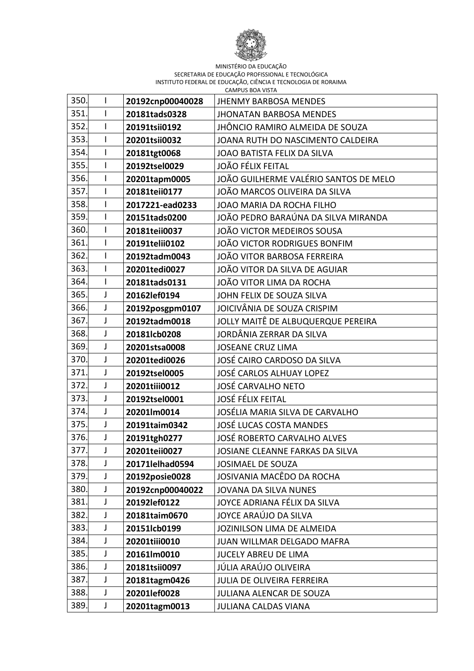

| 350. | I | 20192cnp00040028 | <b>JHENMY BARBOSA MENDES</b>          |
|------|---|------------------|---------------------------------------|
| 351. | L | 20181tads0328    | <b>JHONATAN BARBOSA MENDES</b>        |
| 352. | L | 20191tsii0192    | JHÔNCIO RAMIRO ALMEIDA DE SOUZA       |
| 353. | I | 20201tsii0032    | JOANA RUTH DO NASCIMENTO CALDEIRA     |
| 354. | I | 20181tgt0068     | JOAO BATISTA FELIX DA SILVA           |
| 355. | I | 20192tsel0029    | <b>JOÃO FÉLIX FEITAL</b>              |
| 356. | I | 20201tapm0005    | JOÃO GUILHERME VALÉRIO SANTOS DE MELO |
| 357. | I | 20181teii0177    | JOÃO MARCOS OLIVEIRA DA SILVA         |
| 358. | L | 2017221-ead0233  | JOAO MARIA DA ROCHA FILHO             |
| 359. | I | 20151tads0200    | JOÃO PEDRO BARAÚNA DA SILVA MIRANDA   |
| 360. | I | 20181teii0037    | JOÃO VICTOR MEDEIROS SOUSA            |
| 361. | I | 20191telii0102   | JOÃO VICTOR RODRIGUES BONFIM          |
| 362. | I | 20192tadm0043    | JOÃO VITOR BARBOSA FERREIRA           |
| 363. | I | 20201tedi0027    | JOÃO VITOR DA SILVA DE AGUIAR         |
| 364. | I | 20181tads0131    | JOÃO VITOR LIMA DA ROCHA              |
| 365. | J | 20162lef0194     | JOHN FELIX DE SOUZA SILVA             |
| 366. | J | 20192posgpm0107  | JOICIVÂNIA DE SOUZA CRISPIM           |
| 367. | J | 20192tadm0018    | JOLLY MAITÊ DE ALBUQUERQUE PEREIRA    |
| 368. | J | 20181lcb0208     | JORDÂNIA ZERRAR DA SILVA              |
| 369. | J | 20201stsa0008    | <b>JOSEANE CRUZ LIMA</b>              |
| 370. | J | 20201tedi0026    | JOSÉ CAIRO CARDOSO DA SILVA           |
| 371. | J | 20192tsel0005    | <b>JOSÉ CARLOS ALHUAY LOPEZ</b>       |
| 372. | J | 20201tiii0012    | <b>JOSÉ CARVALHO NETO</b>             |
| 373. | J | 20192tsel0001    | <b>JOSÉ FÉLIX FEITAL</b>              |
| 374. | J | 20201lm0014      | JOSÉLIA MARIA SILVA DE CARVALHO       |
| 375. | J | 20191taim0342    | <b>JOSÉ LUCAS COSTA MANDES</b>        |
| 376. | J | 20191tgh0277     | JOSÉ ROBERTO CARVALHO ALVES           |
| 377. | J | 20201teii0027    | JOSIANE CLEANNE FARKAS DA SILVA       |
| 378. | J | 20171lelhad0594  | JOSIMAEL DE SOUZA                     |
| 379. | J | 20192posie0028   | JOSIVANIA MACÊDO DA ROCHA             |
| 380. | J | 20192cnp00040022 | <b>JOVANA DA SILVA NUNES</b>          |
| 381. | J | 20192lef0122     | JOYCE ADRIANA FÉLIX DA SILVA          |
| 382. | J | 20181taim0670    | JOYCE ARAÚJO DA SILVA                 |
| 383. | J | 20151lcb0199     | JOZINILSON LIMA DE ALMEIDA            |
| 384. | J | 20201tiii0010    | JUAN WILLMAR DELGADO MAFRA            |
| 385. | J | 20161lm0010      | JUCELY ABREU DE LIMA                  |
| 386. | J | 20181tsii0097    | JÚLIA ARAÚJO OLIVEIRA                 |
| 387. | J | 20181tagm0426    | JULIA DE OLIVEIRA FERREIRA            |
| 388. | J | 20201lef0028     | JULIANA ALENCAR DE SOUZA              |
| 389. | J | 20201tagm0013    | <b>JULIANA CALDAS VIANA</b>           |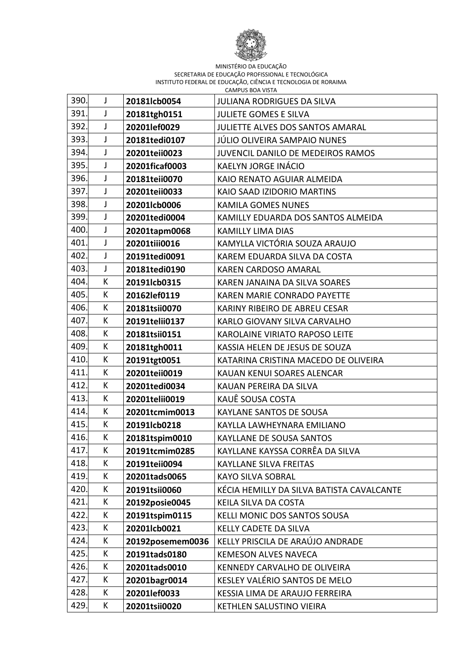

| 390. | J | 20181lcb0054     | <b>JULIANA RODRIGUES DA SILVA</b>         |
|------|---|------------------|-------------------------------------------|
| 391. | J | 20181tgh0151     | <b>JULIETE GOMES E SILVA</b>              |
| 392. | J | 20201lef0029     | JULIETTE ALVES DOS SANTOS AMARAL          |
| 393. | J | 20181tedi0107    | JÚLIO OLIVEIRA SAMPAIO NUNES              |
| 394. | J | 20201teii0023    | JUVENCIL DANILO DE MEDEIROS RAMOS         |
| 395. | J | 20201ficaf0003   | KAELYN JORGE INÁCIO                       |
| 396. | J | 20181teii0070    | KAIO RENATO AGUIAR ALMEIDA                |
| 397. | J | 20201teii0033    | KAIO SAAD IZIDORIO MARTINS                |
| 398. | J | 20201lcb0006     | <b>KAMILA GOMES NUNES</b>                 |
| 399. | J | 20201tedi0004    | KAMILLY EDUARDA DOS SANTOS ALMEIDA        |
| 400. | J | 20201tapm0068    | <b>KAMILLY LIMA DIAS</b>                  |
| 401. | J | 20201tiii0016    | KAMYLLA VICTÓRIA SOUZA ARAUJO             |
| 402. | J | 20191tedi0091    | KAREM EDUARDA SILVA DA COSTA              |
| 403. | J | 20181tedi0190    | <b>KAREN CARDOSO AMARAL</b>               |
| 404. | К | 20191lcb0315     | KAREN JANAINA DA SILVA SOARES             |
| 405. | К | 20162lef0119     | <b>KAREN MARIE CONRADO PAYETTE</b>        |
| 406. | К | 20181tsii0070    | KARINY RIBEIRO DE ABREU CESAR             |
| 407. | К | 20191telii0137   | KARLO GIOVANY SILVA CARVALHO              |
| 408. | К | 20181tsii0151    | KAROLAINE VIRIATO RAPOSO LEITE            |
| 409. | К | 20181tgh0011     | KASSIA HELEN DE JESUS DE SOUZA            |
| 410. | К | 20191tgt0051     | KATARINA CRISTINA MACEDO DE OLIVEIRA      |
| 411  | К | 20201teii0019    | KAUAN KENUI SOARES ALENCAR                |
| 412. | К | 20201tedi0034    | KAUAN PEREIRA DA SILVA                    |
| 413. | К | 20201telii0019   | KAUÊ SOUSA COSTA                          |
| 414. | К | 20201tcmim0013   | KAYLANE SANTOS DE SOUSA                   |
| 415  | К | 20191lcb0218     | KAYLLA LAWHEYNARA EMILIANO                |
| 416. | К | 20181tspim0010   | <b>KAYLLANE DE SOUSA SANTOS</b>           |
| 417. | K | 20191tcmim0285   | KAYLLANE KAYSSA CORRÊA DA SILVA           |
| 418. | К | 20191teii0094    | <b>KAYLLANE SILVA FREITAS</b>             |
| 419. | К | 20201tads0065    | <b>KAYO SILVA SOBRAL</b>                  |
| 420. | К | 20191tsii0060    | KÉCIA HEMILLY DA SILVA BATISTA CAVALCANTE |
| 421. | К | 20192posie0045   | KEILA SILVA DA COSTA                      |
| 422. | К | 20191tspim0115   | KELLI MONIC DOS SANTOS SOUSA              |
| 423. | К | 20201lcb0021     | KELLY CADETE DA SILVA                     |
| 424. | K | 20192posemem0036 | KELLY PRISCILA DE ARAÚJO ANDRADE          |
| 425. | К | 20191tads0180    | <b>KEMESON ALVES NAVECA</b>               |
| 426. | К | 20201tads0010    | KENNEDY CARVALHO DE OLIVEIRA              |
| 427. | K | 20201bagr0014    | KESLEY VALÉRIO SANTOS DE MELO             |
| 428. | K | 20201lef0033     | KESSIA LIMA DE ARAUJO FERREIRA            |
| 429. | К | 20201tsii0020    | KETHLEN SALUSTINO VIEIRA                  |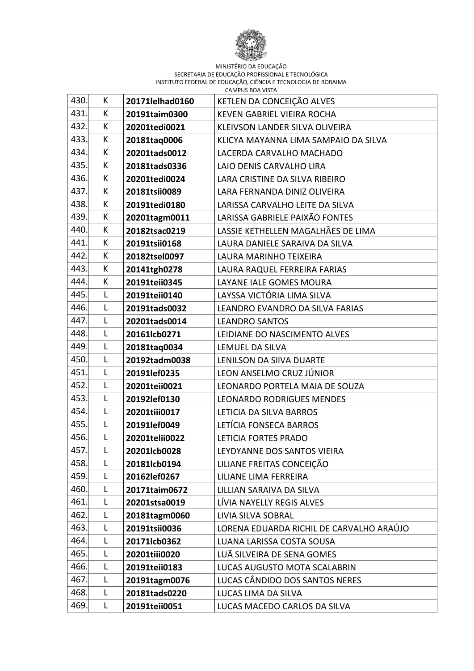

| 430. | K | 20171lelhad0160 | KETLEN DA CONCEIÇÃO ALVES                |
|------|---|-----------------|------------------------------------------|
| 431  | K | 20191taim0300   | <b>KEVEN GABRIEL VIEIRA ROCHA</b>        |
| 432. | К | 20201tedi0021   | KLEIVSON LANDER SILVA OLIVEIRA           |
| 433. | K | 20181taq0006    | KLICYA MAYANNA LIMA SAMPAIO DA SILVA     |
| 434. | К | 20201tads0012   | LACERDA CARVALHO MACHADO                 |
| 435. | К | 20181tads0336   | LAIO DENIS CARVALHO LIRA                 |
| 436. | K | 20201tedi0024   | LARA CRISTINE DA SILVA RIBEIRO           |
| 437. | K | 20181tsii0089   | LARA FERNANDA DINIZ OLIVEIRA             |
| 438. | K | 20191tedi0180   | LARISSA CARVALHO LEITE DA SILVA          |
| 439. | К | 20201tagm0011   | LARISSA GABRIELE PAIXÃO FONTES           |
| 440. | K | 20182tsac0219   | LASSIE KETHELLEN MAGALHÃES DE LIMA       |
| 441  | К | 20191tsii0168   | LAURA DANIELE SARAIVA DA SILVA           |
| 442  | К | 20182tsel0097   | LAURA MARINHO TEIXEIRA                   |
| 443. | K | 20141tgh0278    | LAURA RAQUEL FERREIRA FARIAS             |
| 444. | К | 20191teii0345   | LAYANE IALE GOMES MOURA                  |
| 445. | L | 20191teii0140   | LAYSSA VICTÓRIA LIMA SILVA               |
| 446. | L | 20191tads0032   | LEANDRO EVANDRO DA SILVA FARIAS          |
| 447. | L | 20201tads0014   | <b>LEANDRO SANTOS</b>                    |
| 448. | L | 20161lcb0271    | LEIDIANE DO NASCIMENTO ALVES             |
| 449. | Г | 20181taq0034    | LEMUEL DA SILVA                          |
| 450. | L | 20192tadm0038   | LENILSON DA SIIVA DUARTE                 |
| 451  | L | 20191lef0235    | LEON ANSELMO CRUZ JÚNIOR                 |
| 452. | L | 20201teii0021   | LEONARDO PORTELA MAIA DE SOUZA           |
| 453. | L | 20192lef0130    | <b>LEONARDO RODRIGUES MENDES</b>         |
| 454. | L | 20201tiii0017   | LETICIA DA SILVA BARROS                  |
| 455. | L | 20191lef0049    | LETÍCIA FONSECA BARROS                   |
| 456. | Г | 20201telii0022  | LETICIA FORTES PRADO                     |
| 457. | L | 20201lcb0028    | LEYDYANNE DOS SANTOS VIEIRA              |
| 458. | L | 20181lcb0194    | LILIANE FREITAS CONCEIÇÃO                |
| 459. | L | 20162lef0267    | LILIANE LIMA FERREIRA                    |
| 460. | L | 20171taim0672   | LILLIAN SARAIVA DA SILVA                 |
| 461. | Г | 20201stsa0019   | LÍVIA NAYELLY REGIS ALVES                |
| 462. | L | 20181tagm0060   | LIVIA SILVA SOBRAL                       |
| 463. | Г | 20191tsii0036   | LORENA EDUARDA RICHIL DE CARVALHO ARAÚJO |
| 464. | Г | 20171lcb0362    | LUANA LARISSA COSTA SOUSA                |
| 465. | L | 20201tiii0020   | LUÃ SILVEIRA DE SENA GOMES               |
| 466. | L | 20191teii0183   | LUCAS AUGUSTO MOTA SCALABRIN             |
| 467. | Г | 20191tagm0076   | LUCAS CÂNDIDO DOS SANTOS NERES           |
| 468. | Г | 20181tads0220   | LUCAS LIMA DA SILVA                      |
| 469. | L | 20191teii0051   | LUCAS MACEDO CARLOS DA SILVA             |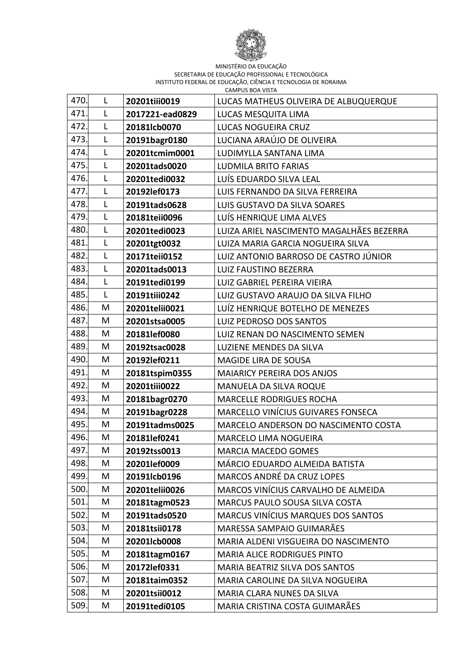

| 470. | L            | 20201tiii0019   | LUCAS MATHEUS OLIVEIRA DE ALBUQUERQUE    |
|------|--------------|-----------------|------------------------------------------|
| 471. | L            | 2017221-ead0829 | LUCAS MESQUITA LIMA                      |
| 472. | L            | 20181lcb0070    | LUCAS NOGUEIRA CRUZ                      |
| 473. | L            | 20191bagr0180   | LUCIANA ARAÚJO DE OLIVEIRA               |
| 474. | L            | 20201tcmim0001  | LUDIMYLLA SANTANA LIMA                   |
| 475. | $\mathsf{L}$ | 20201tads0020   | <b>LUDMILA BRITO FARIAS</b>              |
| 476. | $\mathsf{L}$ | 20201tedi0032   | LUÍS EDUARDO SILVA LEAL                  |
| 477. | L            | 20192lef0173    | LUIS FERNANDO DA SILVA FERREIRA          |
| 478. | L            | 20191tads0628   | LUIS GUSTAVO DA SILVA SOARES             |
| 479. | L            | 20181teii0096   | LUÍS HENRIQUE LIMA ALVES                 |
| 480. | L            | 20201tedi0023   | LUIZA ARIEL NASCIMENTO MAGALHÃES BEZERRA |
| 481  | L            | 20201tgt0032    | LUIZA MARIA GARCIA NOGUEIRA SILVA        |
| 482. | L            | 20171teii0152   | LUIZ ANTONIO BARROSO DE CASTRO JÚNIOR    |
| 483. | L            | 20201tads0013   | <b>LUIZ FAUSTINO BEZERRA</b>             |
| 484. | L            | 20191tedi0199   | LUIZ GABRIEL PEREIRA VIEIRA              |
| 485. | L            | 20191tiii0242   | LUIZ GUSTAVO ARAUJO DA SILVA FILHO       |
| 486. | M            | 20201telii0021  | LUÍZ HENRIQUE BOTELHO DE MENEZES         |
| 487. | M            | 20201stsa0005   | LUIZ PEDROSO DOS SANTOS                  |
| 488. | M            | 20181lef0080    | LUIZ RENAN DO NASCIMENTO SEMEN           |
| 489  | M            | 20192tsac0028   | LUZIENE MENDES DA SILVA                  |
| 490. | M            | 20192lef0211    | <b>MAGIDE LIRA DE SOUSA</b>              |
| 491  | M            | 20181tspim0355  | <b>MAIARICY PEREIRA DOS ANJOS</b>        |
| 492. | M            | 20201tiii0022   | MANUELA DA SILVA ROQUE                   |
| 493. | M            | 20181bagr0270   | <b>MARCELLE RODRIGUES ROCHA</b>          |
| 494. | M            | 20191bagr0228   | MARCELLO VINÍCIUS GUIVARES FONSECA       |
| 495. | M            | 20191tadms0025  | MARCELO ANDERSON DO NASCIMENTO COSTA     |
| 496. | M            | 20181lef0241    | MARCELO LIMA NOGUEIRA                    |
| 497. | M            | 20192tss0013    | MARCIA MACEDO GOMES                      |
| 498. | M            | 20201lef0009    | MÁRCIO EDUARDO ALMEIDA BATISTA           |
| 499. | M            | 20191lcb0196    | MARCOS ANDRÉ DA CRUZ LOPES               |
| 500. | M            | 20201telii0026  | MARCOS VINÍCIUS CARVALHO DE ALMEIDA      |
| 501. | M            | 20181tagm0523   | MARCUS PAULO SOUSA SILVA COSTA           |
| 502. | M            | 20191tads0520   | MARCUS VINÍCIUS MARQUES DOS SANTOS       |
| 503. | M            | 20181tsii0178   | MARESSA SAMPAIO GUIMARÃES                |
| 504. | M            | 20201lcb0008    | MARIA ALDENI VISGUEIRA DO NASCIMENTO     |
| 505. | M            | 20181tagm0167   | <b>MARIA ALICE RODRIGUES PINTO</b>       |
| 506. | M            | 20172lef0331    | <b>MARIA BEATRIZ SILVA DOS SANTOS</b>    |
| 507. | M            | 20181taim0352   | MARIA CAROLINE DA SILVA NOGUEIRA         |
| 508. | M            | 20201tsii0012   | MARIA CLARA NUNES DA SILVA               |
| 509. | M            | 20191tedi0105   | MARIA CRISTINA COSTA GUIMARÃES           |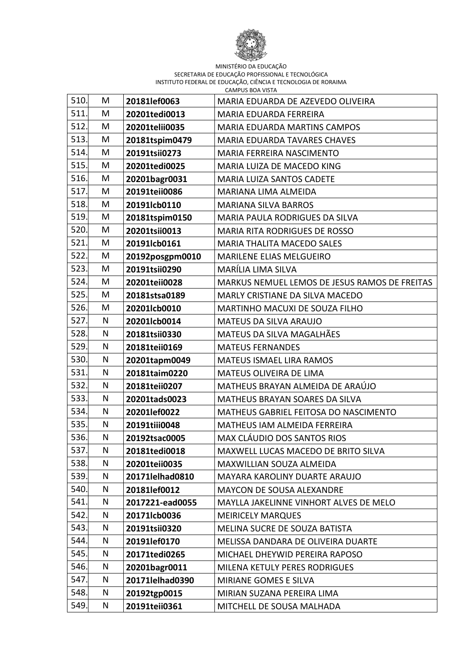

| 510. | M | 20181lef0063    | MARIA EDUARDA DE AZEVEDO OLIVEIRA             |
|------|---|-----------------|-----------------------------------------------|
| 511. | M | 20201tedi0013   | MARIA EDUARDA FERREIRA                        |
| 512. | M | 20201telii0035  | <b>MARIA EDUARDA MARTINS CAMPOS</b>           |
| 513. | M | 20181tspim0479  | <b>MARIA EDUARDA TAVARES CHAVES</b>           |
| 514. | M | 20191tsii0273   | MARIA FERREIRA NASCIMENTO                     |
| 515. | M | 20201tedi0025   | MARIA LUIZA DE MACEDO KING                    |
| 516. | M | 20201bagr0031   | <b>MARIA LUIZA SANTOS CADETE</b>              |
| 517. | M | 20191teii0086   | MARIANA LIMA ALMEIDA                          |
| 518. | M | 20191lcb0110    | <b>MARIANA SILVA BARROS</b>                   |
| 519. | M | 20181tspim0150  | MARIA PAULA RODRIGUES DA SILVA                |
| 520. | M | 20201tsii0013   | MARIA RITA RODRIGUES DE ROSSO                 |
| 521. | M | 20191lcb0161    | <b>MARIA THALITA MACEDO SALES</b>             |
| 522. | M | 20192posgpm0010 | <b>MARILENE ELIAS MELGUEIRO</b>               |
| 523. | M | 20191tsii0290   | MARÍLIA LIMA SILVA                            |
| 524. | M | 20201teii0028   | MARKUS NEMUEL LEMOS DE JESUS RAMOS DE FREITAS |
| 525. | M | 20181stsa0189   | MARLY CRISTIANE DA SILVA MACEDO               |
| 526. | M | 20201lcb0010    | MARTINHO MACUXI DE SOUZA FILHO                |
| 527. | N | 20201lcb0014    | MATEUS DA SILVA ARAUJO                        |
| 528. | N | 20181tsii0330   | MATEUS DA SILVA MAGALHÃES                     |
| 529. | N | 20181teii0169   | <b>MATEUS FERNANDES</b>                       |
| 530. | N | 20201tapm0049   | <b>MATEUS ISMAEL LIRA RAMOS</b>               |
| 531. | N | 20181taim0220   | MATEUS OLIVEIRA DE LIMA                       |
| 532. | N | 20181teii0207   | MATHEUS BRAYAN ALMEIDA DE ARAÚJO              |
| 533. | N | 20201tads0023   | MATHEUS BRAYAN SOARES DA SILVA                |
| 534. | N | 20201lef0022    | MATHEUS GABRIEL FEITOSA DO NASCIMENTO         |
| 535. | N | 20191tiii0048   | MATHEUS IAM ALMEIDA FERREIRA                  |
| 536. | N | 20192tsac0005   | MAX CLÁUDIO DOS SANTOS RIOS                   |
| 537. | N | 20181tedi0018   | MAXWELL LUCAS MACEDO DE BRITO SILVA           |
| 538. | N | 20201teii0035   | MAXWILLIAN SOUZA ALMEIDA                      |
| 539. | N | 20171lelhad0810 | MAYARA KAROLINY DUARTE ARAUJO                 |
| 540. | N | 20181lef0012    | <b>MAYCON DE SOUSA ALEXANDRE</b>              |
| 541. | N | 2017221-ead0055 | MAYLLA JAKELINNE VINHORT ALVES DE MELO        |
| 542. | N | 20171lcb0036    | <b>MEIRICELY MARQUES</b>                      |
| 543. | N | 20191tsii0320   | MELINA SUCRE DE SOUZA BATISTA                 |
| 544. | N | 20191lef0170    | MELISSA DANDARA DE OLIVEIRA DUARTE            |
| 545. | N | 20171tedi0265   | MICHAEL DHEYWID PEREIRA RAPOSO                |
| 546. | N | 20201bagr0011   | MILENA KETULY PERES RODRIGUES                 |
| 547. | N | 20171lelhad0390 | MIRIANE GOMES E SILVA                         |
| 548. | N | 20192tgp0015    | MIRIAN SUZANA PEREIRA LIMA                    |
| 549. | N | 20191teii0361   | MITCHELL DE SOUSA MALHADA                     |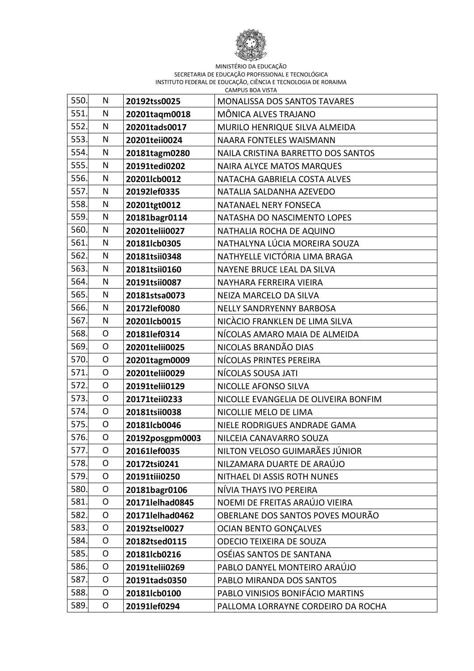

| 550. | N              | 20192tss0025    | <b>MONALISSA DOS SANTOS TAVARES</b>  |
|------|----------------|-----------------|--------------------------------------|
| 551. | Ν              | 20201taqm0018   | MÔNICA ALVES TRAJANO                 |
| 552. | N              | 20201tads0017   | MURILO HENRIQUE SILVA ALMEIDA        |
| 553. | N              | 20201teii0024   | <b>NAARA FONTELES WAISMANN</b>       |
| 554. | N              | 20181tagm0280   | NAILA CRISTINA BARRETTO DOS SANTOS   |
| 555. | N              | 20191tedi0202   | <b>NAIRA ALYCE MATOS MARQUES</b>     |
| 556. | N              | 20201lcb0012    | NATACHA GABRIELA COSTA ALVES         |
| 557. | N              | 20192lef0335    | NATALIA SALDANHA AZEVEDO             |
| 558. | N              | 20201tgt0012    | NATANAEL NERY FONSECA                |
| 559. | N              | 20181bagr0114   | NATASHA DO NASCIMENTO LOPES          |
| 560. | N              | 20201telii0027  | NATHALIA ROCHA DE AQUINO             |
| 561. | N              | 20181lcb0305    | NATHALYNA LÚCIA MOREIRA SOUZA        |
| 562. | N              | 20181tsii0348   | NATHYELLE VICTÓRIA LIMA BRAGA        |
| 563. | N              | 20181tsii0160   | NAYENE BRUCE LEAL DA SILVA           |
| 564. | N              | 20191tsii0087   | NAYHARA FERREIRA VIEIRA              |
| 565. | N              | 20181stsa0073   | NEIZA MARCELO DA SILVA               |
| 566. | N              | 20172lef0080    | NELLY SANDRYENNY BARBOSA             |
| 567. | N              | 20201lcb0015    | NICÀCIO FRANKLEN DE LIMA SILVA       |
| 568. | O              | 20181lef0314    | NÍCOLAS AMARO MAIA DE ALMEIDA        |
| 569. | O              | 20201telii0025  | NICOLAS BRANDÃO DIAS                 |
| 570. | $\overline{O}$ | 20201tagm0009   | NÍCOLAS PRINTES PEREIRA              |
| 571. | $\mathsf{O}$   | 20201telii0029  | NÍCOLAS SOUSA JATI                   |
| 572. | O              | 20191telii0129  | NICOLLE AFONSO SILVA                 |
| 573. | $\mathsf{O}$   | 20171teii0233   | NICOLLE EVANGELIA DE OLIVEIRA BONFIM |
| 574. | $\mathsf{O}$   | 20181tsii0038   | NICOLLIE MELO DE LIMA                |
| 575. | $\mathsf{O}$   | 20181lcb0046    | NIELE RODRIGUES ANDRADE GAMA         |
| 576. | O              | 20192posgpm0003 | NILCEIA CANAVARRO SOUZA              |
| 577. | O              | 20161lef0035    | NILTON VELOSO GUIMARÃES JÚNIOR       |
| 578. | O              | 20172tsi0241    | NILZAMARA DUARTE DE ARAÚJO           |
| 579. | O              | 20191tiii0250   | NITHAEL DI ASSIS ROTH NUNES          |
| 580. | O              | 20181bagr0106   | NÍVIA THAYS IVO PEREIRA              |
| 581. | $\mathsf{O}$   | 20171lelhad0845 | NOEMI DE FREITAS ARAÚJO VIEIRA       |
| 582. | O              | 20171lelhad0462 | OBERLANE DOS SANTOS POVES MOURÃO     |
| 583. | O              | 20192tsel0027   | <b>OCIAN BENTO GONÇALVES</b>         |
| 584. | O              | 20182tsed0115   | <b>ODECIO TEIXEIRA DE SOUZA</b>      |
| 585. | O              | 20181lcb0216    | OSÉIAS SANTOS DE SANTANA             |
| 586. | O              | 20191telii0269  | PABLO DANYEL MONTEIRO ARAÚJO         |
| 587. | $\mathsf{O}$   | 20191tads0350   | PABLO MIRANDA DOS SANTOS             |
| 588. | $\mathsf{O}$   | 20181lcb0100    | PABLO VINISIOS BONIFÁCIO MARTINS     |
| 589. | O              | 20191lef0294    | PALLOMA LORRAYNE CORDEIRO DA ROCHA   |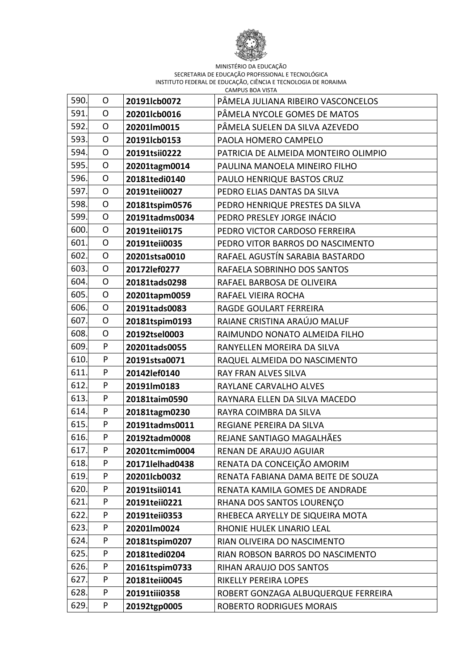

| 590. | $\mathsf{O}$   | 20191lcb0072    | PÂMELA JULIANA RIBEIRO VASCONCELOS   |
|------|----------------|-----------------|--------------------------------------|
| 591. | O              | 20201lcb0016    | PÂMELA NYCOLE GOMES DE MATOS         |
| 592. | O              | 20201lm0015     | PÂMELA SUELEN DA SILVA AZEVEDO       |
| 593. | $\overline{O}$ | 20191lcb0153    | PAOLA HOMERO CAMPELO                 |
| 594. | O              | 20191tsii0222   | PATRICIA DE ALMEIDA MONTEIRO OLIMPIO |
| 595. | $\mathsf{O}$   | 20201tagm0014   | PAULINA MANOELA MINEIRO FILHO        |
| 596. | $\overline{O}$ | 20181tedi0140   | PAULO HENRIQUE BASTOS CRUZ           |
| 597. | $\mathsf{O}$   | 20191teii0027   | PEDRO ELIAS DANTAS DA SILVA          |
| 598. | O              | 20181tspim0576  | PEDRO HENRIQUE PRESTES DA SILVA      |
| 599. | O              | 20191tadms0034  | PEDRO PRESLEY JORGE INÁCIO           |
| 600. | $\mathsf{O}$   | 20191teii0175   | PEDRO VICTOR CARDOSO FERREIRA        |
| 601. | O              | 20191teii0035   | PEDRO VITOR BARROS DO NASCIMENTO     |
| 602. | O              | 20201stsa0010   | RAFAEL AGUSTÍN SARABIA BASTARDO      |
| 603. | $\mathsf{O}$   | 20172lef0277    | RAFAELA SOBRINHO DOS SANTOS          |
| 604. | $\mathsf{O}$   | 20181tads0298   | RAFAEL BARBOSA DE OLIVEIRA           |
| 605. | O              | 20201tapm0059   | RAFAEL VIEIRA ROCHA                  |
| 606. | $\overline{O}$ | 20191tads0083   | RAGDE GOULART FERREIRA               |
| 607. | $\mathsf{O}$   | 20181tspim0193  | RAIANE CRISTINA ARAÚJO MALUF         |
| 608. | O              | 20192tsel0003   | RAIMUNDO NONATO ALMEIDA FILHO        |
| 609. | P              | 20201tads0055   | RANYELLEN MOREIRA DA SILVA           |
| 610. | P              | 20191stsa0071   | RAQUEL ALMEIDA DO NASCIMENTO         |
| 611. | P              | 20142lef0140    | RAY FRAN ALVES SILVA                 |
| 612. | P              | 20191lm0183     | RAYLANE CARVALHO ALVES               |
| 613. | P              | 20181taim0590   | RAYNARA ELLEN DA SILVA MACEDO        |
| 614. | P              | 20181tagm0230   | RAYRA COIMBRA DA SILVA               |
| 615. | P              | 20191tadms0011  | REGIANE PEREIRA DA SILVA             |
| 616. | P              | 20192tadm0008   | REJANE SANTIAGO MAGALHÃES            |
| 617. | P              | 20201tcmim0004  | RENAN DE ARAUJO AGUIAR               |
| 618. | P              | 20171lelhad0438 | RENATA DA CONCEIÇÃO AMORIM           |
| 619. | P              | 20201lcb0032    | RENATA FABIANA DAMA BEITE DE SOUZA   |
| 620. | P              | 20191tsii0141   | RENATA KAMILA GOMES DE ANDRADE       |
| 621. | P              | 20191teii0221   | RHANA DOS SANTOS LOURENÇO            |
| 622. | P              | 20191teii0353   | RHEBECA ARYELLY DE SIQUEIRA MOTA     |
| 623. | P              | 20201lm0024     | RHONIE HULEK LINARIO LEAL            |
| 624. | P              | 20181tspim0207  | RIAN OLIVEIRA DO NASCIMENTO          |
| 625. | P              | 20181tedi0204   | RIAN ROBSON BARROS DO NASCIMENTO     |
| 626. | P              | 20161tspim0733  | RIHAN ARAUJO DOS SANTOS              |
| 627. | P              | 20181teii0045   | RIKELLY PEREIRA LOPES                |
| 628. | P              | 20191tiii0358   | ROBERT GONZAGA ALBUQUERQUE FERREIRA  |
| 629. | P              | 20192tgp0005    | ROBERTO RODRIGUES MORAIS             |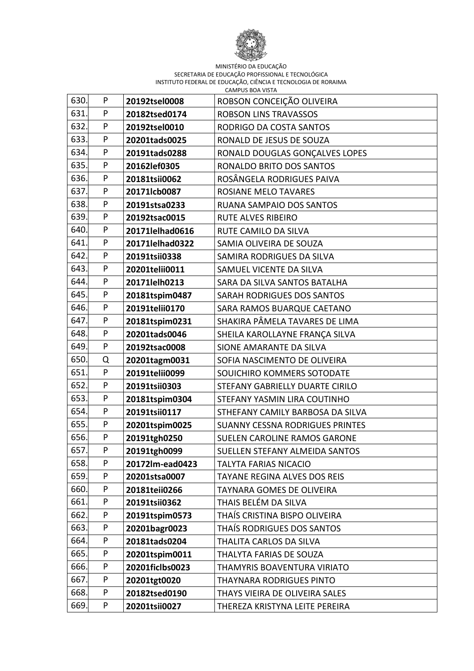

| 630. | P | 20192tsel0008   | ROBSON CONCEIÇÃO OLIVEIRA           |
|------|---|-----------------|-------------------------------------|
| 631. | P | 20182tsed0174   | <b>ROBSON LINS TRAVASSOS</b>        |
| 632. | P | 20192tsel0010   | RODRIGO DA COSTA SANTOS             |
| 633. | P | 20201tads0025   | RONALD DE JESUS DE SOUZA            |
| 634. | P | 20191tads0288   | RONALD DOUGLAS GONÇALVES LOPES      |
| 635. | P | 20162lef0305    | RONALDO BRITO DOS SANTOS            |
| 636. | P | 20181tsii0062   | ROSÂNGELA RODRIGUES PAIVA           |
| 637. | P | 20171lcb0087    | ROSIANE MELO TAVARES                |
| 638. | P | 20191stsa0233   | RUANA SAMPAIO DOS SANTOS            |
| 639. | P | 20192tsac0015   | <b>RUTE ALVES RIBEIRO</b>           |
| 640. | P | 20171lelhad0616 | RUTE CAMILO DA SILVA                |
| 641  | P | 20171lelhad0322 | SAMIA OLIVEIRA DE SOUZA             |
| 642. | P | 20191tsii0338   | SAMIRA RODRIGUES DA SILVA           |
| 643. | P | 20201telii0011  | SAMUEL VICENTE DA SILVA             |
| 644. | P | 20171lelh0213   | SARA DA SILVA SANTOS BATALHA        |
| 645. | P | 20181tspim0487  | SARAH RODRIGUES DOS SANTOS          |
| 646. | P | 20191telii0170  | SARA RAMOS BUARQUE CAETANO          |
| 647. | P | 20181tspim0231  | SHAKIRA PÂMELA TAVARES DE LIMA      |
| 648. | P | 20201tads0046   | SHEILA KAROLLAYNE FRANÇA SILVA      |
| 649. | P | 20192tsac0008   | SIONE AMARANTE DA SILVA             |
| 650. | Q | 20201tagm0031   | SOFIA NASCIMENTO DE OLIVEIRA        |
| 651  | P | 20191telii0099  | SOUICHIRO KOMMERS SOTODATE          |
| 652. | P | 20191tsii0303   | STEFANY GABRIELLY DUARTE CIRILO     |
| 653. | P | 20181tspim0304  | STEFANY YASMIN LIRA COUTINHO        |
| 654. | P | 20191tsii0117   | STHEFANY CAMILY BARBOSA DA SILVA    |
| 655. | P | 20201tspim0025  | SUANNY CESSNA RODRIGUES PRINTES     |
| 656. | P | 20191tgh0250    | SUELEN CAROLINE RAMOS GARONE        |
| 657. | P | 20191tgh0099    | SUELLEN STEFANY ALMEIDA SANTOS      |
| 658. | P | 20172lm-ead0423 | <b>TALYTA FARIAS NICACIO</b>        |
| 659. | P | 20201stsa0007   | <b>TAYANE REGINA ALVES DOS REIS</b> |
| 660. | P | 20181teii0266   | <b>TAYNARA GOMES DE OLIVEIRA</b>    |
| 661. | P | 20191tsii0362   | THAIS BELÉM DA SILVA                |
| 662. | P | 20191tspim0573  | THAÍS CRISTINA BISPO OLIVEIRA       |
| 663. | P | 20201bagr0023   | THAIS RODRIGUES DOS SANTOS          |
| 664. | P | 20181tads0204   | THALITA CARLOS DA SILVA             |
| 665. | P | 20201tspim0011  | THALYTA FARIAS DE SOUZA             |
| 666. | P | 20201ficlbs0023 | THAMYRIS BOAVENTURA VIRIATO         |
| 667. | P | 20201tgt0020    | <b>THAYNARA RODRIGUES PINTO</b>     |
| 668. | P | 20182tsed0190   | THAYS VIEIRA DE OLIVEIRA SALES      |
| 669. | P | 20201tsii0027   | THEREZA KRISTYNA LEITE PEREIRA      |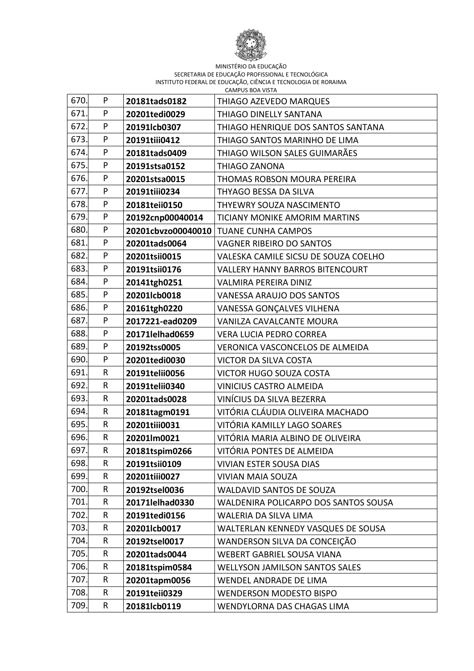

| 670. | P         | 20181tads0182    | THIAGO AZEVEDO MARQUES                 |
|------|-----------|------------------|----------------------------------------|
| 671. | P         | 20201tedi0029    | <b>THIAGO DINELLY SANTANA</b>          |
| 672. | P         | 20191lcb0307     | THIAGO HENRIQUE DOS SANTOS SANTANA     |
| 673. | P         | 20191tiii0412    | THIAGO SANTOS MARINHO DE LIMA          |
| 674. | P         | 20181tads0409    | THIAGO WILSON SALES GUIMARÃES          |
| 675. | P         | 20191stsa0152    | <b>THIAGO ZANONA</b>                   |
| 676. | P         | 20201stsa0015    | THOMAS ROBSON MOURA PEREIRA            |
| 677. | P         | 20191tiii0234    | THYAGO BESSA DA SILVA                  |
| 678. | P         | 20181teii0150    | THYEWRY SOUZA NASCIMENTO               |
| 679. | P         | 20192cnp00040014 | TICIANY MONIKE AMORIM MARTINS          |
| 680. | P         |                  | 20201cbvzo00040010 TUANE CUNHA CAMPOS  |
| 681. | P         | 20201tads0064    | VAGNER RIBEIRO DO SANTOS               |
| 682. | P         | 20201tsii0015    | VALESKA CAMILE SICSU DE SOUZA COELHO   |
| 683. | P         | 20191tsii0176    | <b>VALLERY HANNY BARROS BITENCOURT</b> |
| 684. | P         | 20141tgh0251     | VALMIRA PEREIRA DINIZ                  |
| 685. | P         | 20201lcb0018     | VANESSA ARAUJO DOS SANTOS              |
| 686. | P         | 20161tgh0220     | VANESSA GONÇALVES VILHENA              |
| 687. | P         | 2017221-ead0209  | VANILZA CAVALCANTE MOURA               |
| 688. | P         | 20171lelhad0659  | <b>VERA LUCIA PEDRO CORREA</b>         |
| 689. | P         | 20192tss0005     | VERONICA VASCONCELOS DE ALMEIDA        |
| 690. | P         | 20201tedi0030    | <b>VICTOR DA SILVA COSTA</b>           |
| 691. | R         | 20191telii0056   | <b>VICTOR HUGO SOUZA COSTA</b>         |
| 692. | R         | 20191telii0340   | <b>VINICIUS CASTRO ALMEIDA</b>         |
| 693. | R         | 20201tads0028    | VINÍCIUS DA SILVA BEZERRA              |
| 694. | R         | 20181tagm0191    | VITÓRIA CLÁUDIA OLIVEIRA MACHADO       |
| 695. | R         | 20201tiii0031    | VITÓRIA KAMILLY LAGO SOARES            |
| 696. | R         | 20201lm0021      | VITÓRIA MARIA ALBINO DE OLIVEIRA       |
| 697. | ${\sf R}$ | 20181tspim0266   | VITÓRIA PONTES DE ALMEIDA              |
| 698. | R         | 20191tsii0109    | <b>VIVIAN ESTER SOUSA DIAS</b>         |
| 699. | R         | 20201tiii0027    | <b>VIVIAN MAIA SOUZA</b>               |
| 700. | R         | 20192tsel0036    | <b>WALDAVID SANTOS DE SOUZA</b>        |
| 701. | R         | 20171lelhad0330  | WALDENIRA POLICARPO DOS SANTOS SOUSA   |
| 702. | R         | 20191tedi0156    | WALERIA DA SILVA LIMA                  |
| 703. | R         | 20201lcb0017     | WALTERLAN KENNEDY VASQUES DE SOUSA     |
| 704. | R         | 20192tsel0017    | WANDERSON SILVA DA CONCEIÇÃO           |
| 705. | R         | 20201tads0044    | <b>WEBERT GABRIEL SOUSA VIANA</b>      |
| 706. | R         | 20181tspim0584   | <b>WELLYSON JAMILSON SANTOS SALES</b>  |
| 707. | R         | 20201tapm0056    | WENDEL ANDRADE DE LIMA                 |
| 708. | R         | 20191teii0329    | <b>WENDERSON MODESTO BISPO</b>         |
| 709. | R         | 20181lcb0119     | WENDYLORNA DAS CHAGAS LIMA             |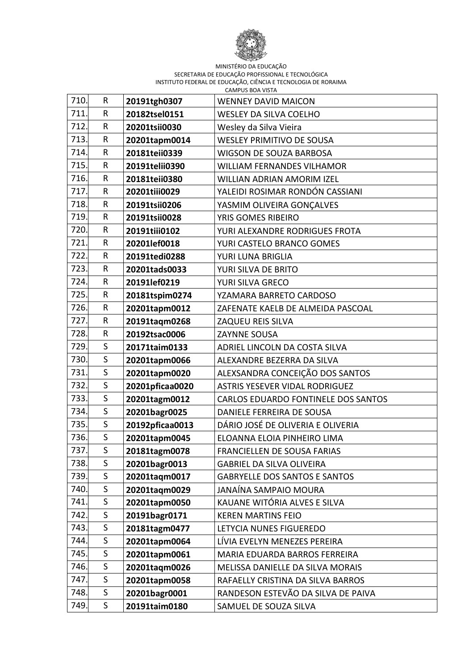

| 710. | R            | 20191tgh0307    | <b>WENNEY DAVID MAICON</b>            |
|------|--------------|-----------------|---------------------------------------|
| 711. | R            | 20182tsel0151   | <b>WESLEY DA SILVA COELHO</b>         |
| 712. | R            | 20201tsii0030   | Wesley da Silva Vieira                |
| 713. | R            | 20201tapm0014   | <b>WESLEY PRIMITIVO DE SOUSA</b>      |
| 714. | R            | 20181teii0339   | WIGSON DE SOUZA BARBOSA               |
| 715. | R            | 20191telii0390  | <b>WILLIAM FERNANDES VILHAMOR</b>     |
| 716. | $\mathsf{R}$ | 20181teii0380   | <b>WILLIAN ADRIAN AMORIM IZEL</b>     |
| 717. | R            | 20201tiii0029   | YALEIDI ROSIMAR RONDÓN CASSIANI       |
| 718. | R            | 20191tsii0206   | YASMIM OLIVEIRA GONÇALVES             |
| 719. | R            | 20191tsii0028   | YRIS GOMES RIBEIRO                    |
| 720. | R            | 20191tiii0102   | YURI ALEXANDRE RODRIGUES FROTA        |
| 721. | R            | 20201lef0018    | YURI CASTELO BRANCO GOMES             |
| 722. | R            | 20191tedi0288   | YURI LUNA BRIGLIA                     |
| 723. | R            | 20201tads0033   | YURI SILVA DE BRITO                   |
| 724. | R            | 20191lef0219    | YURI SILVA GRECO                      |
| 725. | R            | 20181tspim0274  | YZAMARA BARRETO CARDOSO               |
| 726. | R            | 20201tapm0012   | ZAFENATE KAELB DE ALMEIDA PASCOAL     |
| 727. | R            | 20191taqm0268   | ZAQUEU REIS SILVA                     |
| 728. | R            | 20192tsac0006   | <b>ZAYNNE SOUSA</b>                   |
| 729. | S            | 20171taim0133   | ADRIEL LINCOLN DA COSTA SILVA         |
| 730. | S            | 20201tapm0066   | ALEXANDRE BEZERRA DA SILVA            |
| 731  | S            | 20201tapm0020   | ALEXSANDRA CONCEIÇÃO DOS SANTOS       |
| 732. | $\mathsf{S}$ | 20201pficaa0020 | <b>ASTRIS YESEVER VIDAL RODRIGUEZ</b> |
| 733. | $\mathsf{S}$ | 20201tagm0012   | CARLOS EDUARDO FONTINELE DOS SANTOS   |
| 734. | S            | 20201bagr0025   | DANIELE FERREIRA DE SOUSA             |
| 735. | $\mathsf{S}$ | 20192pficaa0013 | DÁRIO JOSÉ DE OLIVERIA E OLIVERIA     |
| 736. | $\mathsf{S}$ | 20201tapm0045   | ELOANNA ELOIA PINHEIRO LIMA           |
| 737. | S            | 20181tagm0078   | FRANCIELLEN DE SOUSA FARIAS           |
| 738. | $\mathsf{S}$ | 20201bagr0013   | <b>GABRIEL DA SILVA OLIVEIRA</b>      |
| 739. | S            | 20201taqm0017   | <b>GABRYELLE DOS SANTOS E SANTOS</b>  |
| 740. | S            | 20201tagm0029   | JANAÍNA SAMPAIO MOURA                 |
| 741. | S            | 20201tapm0050   | KAUANE WITÓRIA ALVES E SILVA          |
| 742. | S            | 20191bagr0171   | <b>KEREN MARTINS FEIO</b>             |
| 743. | S            | 20181tagm0477   | LETYCIA NUNES FIGUEREDO               |
| 744. | S            | 20201tapm0064   | LÍVIA EVELYN MENEZES PEREIRA          |
| 745. | S            | 20201tapm0061   | MARIA EDUARDA BARROS FERREIRA         |
| 746. | S            | 20201taqm0026   | MELISSA DANIELLE DA SILVA MORAIS      |
| 747. | S            | 20201tapm0058   | RAFAELLY CRISTINA DA SILVA BARROS     |
| 748. | S.           | 20201bagr0001   | RANDESON ESTEVÃO DA SILVA DE PAIVA    |
| 749. | S            | 20191taim0180   | SAMUEL DE SOUZA SILVA                 |